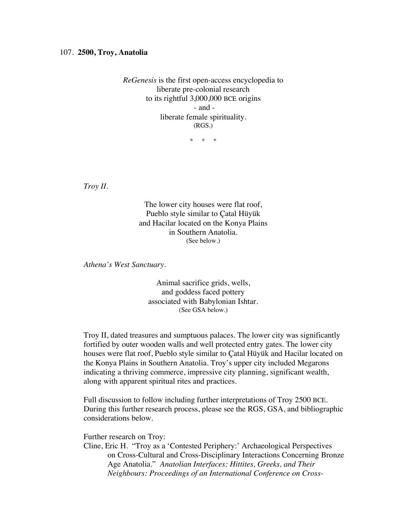## 107. **2500, Troy, Anatolia**

*ReGenesis* is the first open-access encyclopedia to liberate pre-colonial research to its rightful 3,000,000 BCE origins - and liberate female spirituality. (RGS.)

\* \* \*

*Troy II.*

The lower city houses were flat roof, Pueblo style similar to Çatal Hüyük and Hacilar located on the Konya Plains in Southern Anatolia. (See below.)

*Athena's West Sanctuary.*

Animal sacrifice grids, wells, and goddess faced pottery associated with Babylonian Ishtar. (See GSA below.)

Troy II, dated treasures and sumptuous palaces. The lower city was significantly fortified by outer wooden walls and well protected entry gates. The lower city houses were flat roof, Pueblo style similar to Çatal Hüyük and Hacilar located on the Konya Plains in Southern Anatolia. Troy's upper city included Megarons indicating a thriving commerce, impressive city planning, significant wealth, along with apparent spiritual rites and practices.

Full discussion to follow including further interpretations of Troy 2500 BCE. During this further research process, please see the RGS, GSA, and bibliographic considerations below.

Further research on Troy:

Cline, Eric H. "Troy as a 'Contested Periphery:' Archaeological Perspectives on Cross-Cultural and Cross-Disciplinary Interactions Concerning Bronze Age Anatolia." *Anatolian Interfaces: Hittites, Greeks, and Their Neighbours: Proceedings of an International Conference on Cross-*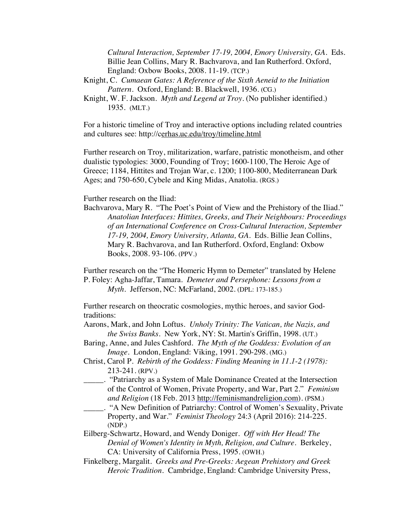*Cultural Interaction, September 17-19, 2004, Emory University, GA.* Eds. Billie Jean Collins, Mary R. Bachvarova, and Ian Rutherford. Oxford, England: Oxbow Books, 2008. 11-19. (TCP.)

- Knight, C. *Cumaean Gates: A Reference of the Sixth Aeneid to the Initiation Pattern*. Oxford, England: B. Blackwell, 1936. (CG.)
- Knight, W. F. Jackson. *Myth and Legend at Troy.* (No publisher identified.) 1935. (MLT.)

For a historic timeline of Troy and interactive options including related countries and cultures see: http://cerhas.uc.edu/troy/timeline.html

Further research on Troy, militarization, warfare, patristic monotheism, and other dualistic typologies: 3000, Founding of Troy; 1600-1100, The Heroic Age of Greece; 1184, Hittites and Trojan War, c. 1200; 1100-800, Mediterranean Dark Ages; and 750-650, Cybele and King Midas, Anatolia. (RGS.)

## Further research on the Iliad:

Bachvarova, Mary R. "The Poet's Point of View and the Prehistory of the Iliad." *Anatolian Interfaces: Hittites, Greeks, and Their Neighbours: Proceedings of an International Conference on Cross-Cultural Interaction, September 17-19, 2004, Emory University, Atlanta, GA.* Eds. Billie Jean Collins, Mary R. Bachvarova, and Ian Rutherford. Oxford, England: Oxbow Books, 2008. 93-106. (PPV.)

Further research on the "The Homeric Hymn to Demeter" translated by Helene P. Foley: Agha-Jaffar, Tamara. *Demeter and Persephone: Lessons from a Myth*. Jefferson, NC: McFarland, 2002. (DPL: 173-185.)

Further research on theocratic cosmologies, mythic heroes, and savior Godtraditions:

- Aarons, Mark, and John Loftus. *Unholy Trinity: The Vatican, the Nazis, and the Swiss Banks*. New York, NY: St. Martin's Griffin, 1998. (UT.)
- Baring, Anne, and Jules Cashford. *The Myth of the Goddess: Evolution of an Image*. London, England: Viking, 1991. 290-298. (MG.)
- Christ, Carol P. *Rebirth of the Goddess: Finding Meaning in 11.1-2 (1978):* 213-241. (RPV.)
	- \_\_\_\_\_. "Patriarchy as a System of Male Dominance Created at the Intersection of the Control of Women, Private Property, and War, Part 2." *Feminism and Religion* (18 Feb. 2013 http://feminismandreligion.com). (PSM.)
- \_\_\_\_\_. "A New Definition of Patriarchy: Control of Women's Sexuality, Private Property, and War." *Feminist Theology* 24:3 (April 2016): 214-225. (NDP.)
- Eilberg-Schwartz, Howard, and Wendy Doniger. *Off with Her Head! The Denial of Women's Identity in Myth, Religion, and Culture*. Berkeley, CA: University of California Press, 1995. (OWH.)
- Finkelberg, Margalit. *Greeks and Pre-Greeks: Aegean Prehistory and Greek Heroic Tradition.* Cambridge, England: Cambridge University Press,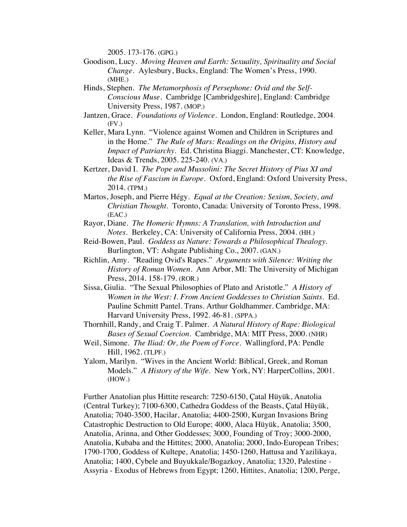2005. 173-176. (GPG.)

- Goodison, Lucy. *Moving Heaven and Earth: Sexuality, Spirituality and Social Change.* Aylesbury, Bucks, England: The Women's Press, 1990. (MHE.)
- Hinds, Stephen. *The Metamorphosis of Persephone: Ovid and the Self-Conscious Muse*. Cambridge [Cambridgeshire], England: Cambridge University Press, 1987. (MOP.)
- Jantzen, Grace. *Foundations of Violence*. London, England: Routledge, 2004. (FV.)
- Keller, Mara Lynn. "Violence against Women and Children in Scriptures and in the Home." *The Rule of Mars: Readings on the Origins, History and Impact of Patriarchy.* Ed. Christina Biaggi. Manchester, CT: Knowledge, Ideas & Trends, 2005. 225-240. (VA.)
- Kertzer, David I. *The Pope and Mussolini: The Secret History of Pius XI and the Rise of Fascism in Europe.* Oxford, England: Oxford University Press, 2014. (TPM.)
- Martos, Joseph, and Pierre Hégy. *Equal at the Creation: Sexism, Society, and Christian Thought*. Toronto, Canada: University of Toronto Press, 1998. (EAC.)
- Rayor, Diane. *The Homeric Hymns: A Translation, with Introduction and Notes.* Berkeley, CA: University of California Press, 2004. (HH.)
- Reid-Bowen, Paul. *Goddess as Nature: Towards a Philosophical Thealogy.* Burlington, VT: Ashgate Publishing Co., 2007. (GAN.)
- Richlin, Amy. "Reading Ovid's Rapes." *Arguments with Silence: Writing the History of Roman Women*. Ann Arbor, MI: The University of Michigan Press, 2014. 158-179. (ROR.)
- Sissa, Giulia. "The Sexual Philosophies of Plato and Aristotle." *A History of Women in the West: I. From Ancient Goddesses to Christian Saints.* Ed. Pauline Schmitt Pantel. Trans. Arthur Goldhammer. Cambridge, MA: Harvard University Press, 1992. 46-81. (SPPA.)
- Thornhill, Randy, and Craig T. Palmer. *A Natural History of Rape: Biological Bases of Sexual Coercion*. Cambridge, MA: MIT Press, 2000. (NHR)
- Weil, Simone. *The Iliad: Or, the Poem of Force*. Wallingford, PA: Pendle Hill, 1962. (TLPF.)
- Yalom, Marilyn. "Wives in the Ancient World: Biblical, Greek, and Roman Models." *A History of the Wife*. New York, NY: HarperCollins, 2001. (HOW.)

Further Anatolian plus Hittite research: 7250-6150, Çatal Hüyük, Anatolia (Central Turkey); 7100-6300, Cathedra Goddess of the Beasts, Çatal Hüyük, Anatolia; 7040-3500, Hacilar, Anatolia; 4400-2500, Kurgan Invasions Bring Catastrophic Destruction to Old Europe; 4000, Alaca Hüyük, Anatolia; 3500, Anatolia, Arinna, and Other Goddesses; 3000, Founding of Troy; 3000-2000, Anatolia, Kubaba and the Hittites; 2000, Anatolia; 2000, Indo-European Tribes; 1790-1700, Goddess of Kultepe, Anatolia; 1450-1260, Hattusa and Yazilikaya, Anatolia; 1400, Cybele and Buyukkale/Bogazkoy, Anatolia; 1320, Palestine - Assyria - Exodus of Hebrews from Egypt; 1260, Hittites, Anatolia; 1200, Perge,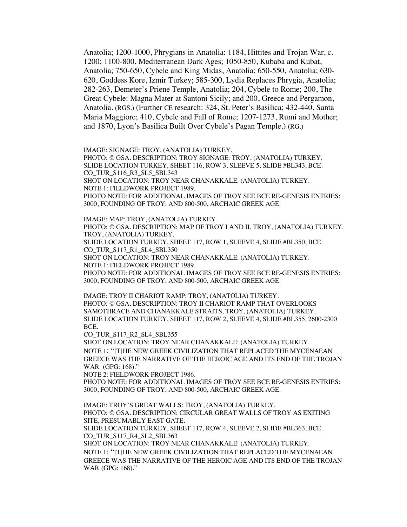Anatolia; 1200-1000, Phrygians in Anatolia: 1184, Hittites and Trojan War, c. 1200; 1100-800, Mediterranean Dark Ages; 1050-850, Kubaba and Kubat, Anatolia; 750-650, Cybele and King Midas, Anatolia; 650-550, Anatolia; 630- 620, Goddess Kore, Izmir Turkey; 585-300, Lydia Replaces Phrygia, Anatolia; 282-263, Demeter's Priene Temple, Anatolia; 204, Cybele to Rome; 200, The Great Cybele: Magna Mater at Santoni Sicily; and 200, Greece and Pergamon, Anatolia. (RGS.) (Further CE research: 324, St. Peter's Basilica; 432-440, Santa Maria Maggiore; 410, Cybele and Fall of Rome; 1207-1273, Rumi and Mother; and 1870, Lyon's Basilica Built Over Cybele's Pagan Temple.) (RG.)

IMAGE: SIGNAGE: TROY, (ANATOLIA) TURKEY.

PHOTO: © GSA. DESCRIPTION: TROY SIGNAGE: TROY, (ANATOLIA) TURKEY. SLIDE LOCATION TURKEY, SHEET 116, ROW 3, SLEEVE 5, SLIDE #BL343, BCE. CO\_TUR\_S116\_R3\_SL5\_SBL343 SHOT ON LOCATION: TROY NEAR CHANAKKALE: (ANATOLIA) TURKEY. NOTE 1: FIELDWORK PROJECT 1989. PHOTO NOTE: FOR ADDITIONAL IMAGES OF TROY SEE BCE RE-GENESIS ENTRIES: 3000, FOUNDING OF TROY; AND 800-500, ARCHAIC GREEK AGE.

IMAGE: MAP: TROY, (ANATOLIA) TURKEY. PHOTO: © GSA. DESCRIPTION: MAP OF TROY I AND II, TROY, (ANATOLIA) TURKEY. TROY, (ANATOLIA) TURKEY.

SLIDE LOCATION TURKEY, SHEET 117, ROW 1, SLEEVE 4, SLIDE #BL350, BCE. CO\_TUR\_S117\_R1\_SL4\_SBL350

SHOT ON LOCATION: TROY NEAR CHANAKKALE: (ANATOLIA) TURKEY. NOTE 1: FIELDWORK PROJECT 1989.

PHOTO NOTE: FOR ADDITIONAL IMAGES OF TROY SEE BCE RE-GENESIS ENTRIES: 3000, FOUNDING OF TROY; AND 800-500, ARCHAIC GREEK AGE.

IMAGE: TROY II CHARIOT RAMP: TROY, (ANATOLIA) TURKEY. PHOTO: © GSA. DESCRIPTION: TROY II CHARIOT RAMP THAT OVERLOOKS SAMOTHRACE AND CHANAKKALE STRAITS, TROY, (ANATOLIA) TURKEY. SLIDE LOCATION TURKEY, SHEET 117, ROW 2, SLEEVE 4, SLIDE #BL355, 2600-2300 BCE.

CO\_TUR\_S117\_R2\_SL4\_SBL355

SHOT ON LOCATION: TROY NEAR CHANAKKALE: (ANATOLIA) TURKEY. NOTE 1: "[T]HE NEW GREEK CIVILIZATION THAT REPLACED THE MYCENAEAN GREECE WAS THE NARRATIVE OF THE HEROIC AGE AND ITS END OF THE TROJAN WAR (GPG: 168)."

NOTE 2: FIELDWORK PROJECT 1986.

PHOTO NOTE: FOR ADDITIONAL IMAGES OF TROY SEE BCE RE-GENESIS ENTRIES: 3000, FOUNDING OF TROY; AND 800-500, ARCHAIC GREEK AGE.

IMAGE: TROY'S GREAT WALLS: TROY, (ANATOLIA) TURKEY. PHOTO: © GSA. DESCRIPTION: CIRCULAR GREAT WALLS OF TROY AS EXITING SITE, PRESUMABLY EAST GATE.

SLIDE LOCATION TURKEY, SHEET 117, ROW 4, SLEEVE 2, SLIDE #BL363, BCE. CO\_TUR\_S117\_R4\_SL2\_SBL363

SHOT ON LOCATION: TROY NEAR CHANAKKALE: (ANATOLIA) TURKEY. NOTE 1: "[T]HE NEW GREEK CIVILIZATION THAT REPLACED THE MYCENAEAN GREECE WAS THE NARRATIVE OF THE HEROIC AGE AND ITS END OF THE TROJAN WAR (GPG: 168)."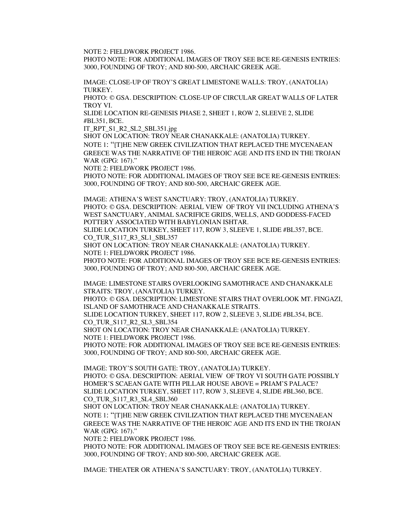NOTE 2: FIELDWORK PROJECT 1986.

PHOTO NOTE: FOR ADDITIONAL IMAGES OF TROY SEE BCE RE-GENESIS ENTRIES: 3000, FOUNDING OF TROY; AND 800-500, ARCHAIC GREEK AGE.

IMAGE: CLOSE-UP OF TROY'S GREAT LIMESTONE WALLS: TROY, (ANATOLIA) TURKEY.

PHOTO: © GSA. DESCRIPTION: CLOSE-UP OF CIRCULAR GREAT WALLS OF LATER TROY VI.

SLIDE LOCATION RE-GENESIS PHASE 2, SHEET 1, ROW 2, SLEEVE 2, SLIDE #BL351, BCE.

IT\_RPT\_S1\_R2\_SL2\_SBL351.jpg

SHOT ON LOCATION: TROY NEAR CHANAKKALE: (ANATOLIA) TURKEY. NOTE 1: "[T]HE NEW GREEK CIVILIZATION THAT REPLACED THE MYCENAEAN GREECE WAS THE NARRATIVE OF THE HEROIC AGE AND ITS END IN THE TROJAN WAR (GPG: 167)."

NOTE 2: FIELDWORK PROJECT 1986.

PHOTO NOTE: FOR ADDITIONAL IMAGES OF TROY SEE BCE RE-GENESIS ENTRIES: 3000, FOUNDING OF TROY; AND 800-500, ARCHAIC GREEK AGE.

IMAGE: ATHENA'S WEST SANCTUARY: TROY, (ANATOLIA) TURKEY. PHOTO: © GSA. DESCRIPTION: AERIAL VIEW OF TROY VII INCLUDING ATHENA'S WEST SANCTUARY, ANIMAL SACRIFICE GRIDS, WELLS, AND GODDESS-FACED POTTERY ASSOCIATED WITH BABYLONIAN ISHTAR.

SLIDE LOCATION TURKEY, SHEET 117, ROW 3, SLEEVE 1, SLIDE #BL357, BCE. CO\_TUR\_S117\_R3\_SL1\_SBL357

SHOT ON LOCATION: TROY NEAR CHANAKKALE: (ANATOLIA) TURKEY. NOTE 1: FIELDWORK PROJECT 1986.

PHOTO NOTE: FOR ADDITIONAL IMAGES OF TROY SEE BCE RE-GENESIS ENTRIES: 3000, FOUNDING OF TROY; AND 800-500, ARCHAIC GREEK AGE.

IMAGE: LIMESTONE STAIRS OVERLOOKING SAMOTHRACE AND CHANAKKALE STRAITS: TROY, (ANATOLIA) TURKEY. PHOTO: © GSA. DESCRIPTION: LIMESTONE STAIRS THAT OVERLOOK MT. FINGAZI, ISLAND OF SAMOTHRACE AND CHANAKKALE STRAITS. SLIDE LOCATION TURKEY, SHEET 117, ROW 2, SLEEVE 3, SLIDE #BL354, BCE. CO\_TUR\_S117\_R2\_SL3\_SBL354 SHOT ON LOCATION: TROY NEAR CHANAKKALE: (ANATOLIA) TURKEY. NOTE 1: FIELDWORK PROJECT 1986. PHOTO NOTE: FOR ADDITIONAL IMAGES OF TROY SEE BCE RE-GENESIS ENTRIES: 3000, FOUNDING OF TROY; AND 800-500, ARCHAIC GREEK AGE.

IMAGE: TROY'S SOUTH GATE: TROY, (ANATOLIA) TURKEY. PHOTO: © GSA. DESCRIPTION: AERIAL VIEW OF TROY VI SOUTH GATE POSSIBLY HOMER'S SCAEAN GATE WITH PILLAR HOUSE ABOVE = PRIAM'S PALACE? SLIDE LOCATION TURKEY, SHEET 117, ROW 3, SLEEVE 4, SLIDE #BL360, BCE. CO\_TUR\_S117\_R3\_SL4\_SBL360

SHOT ON LOCATION: TROY NEAR CHANAKKALE: (ANATOLIA) TURKEY. NOTE 1: "[T]HE NEW GREEK CIVILIZATION THAT REPLACED THE MYCENAEAN GREECE WAS THE NARRATIVE OF THE HEROIC AGE AND ITS END IN THE TROJAN WAR (GPG: 167)."

NOTE 2: FIELDWORK PROJECT 1986.

PHOTO NOTE: FOR ADDITIONAL IMAGES OF TROY SEE BCE RE-GENESIS ENTRIES: 3000, FOUNDING OF TROY; AND 800-500, ARCHAIC GREEK AGE.

IMAGE: THEATER OR ATHENA'S SANCTUARY: TROY, (ANATOLIA) TURKEY.